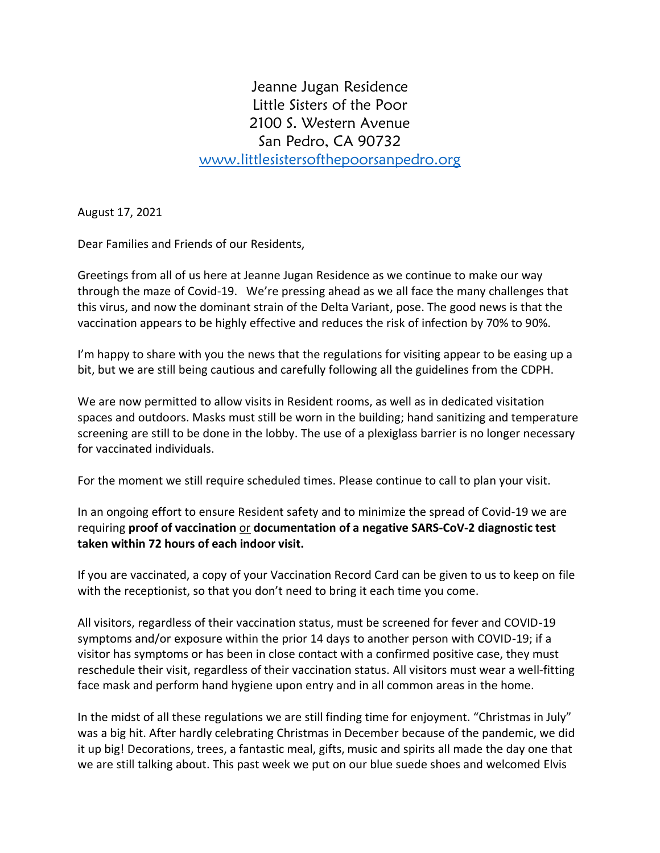Jeanne Jugan Residence Little Sisters of the Poor 2100 S. Western Avenue San Pedro, CA 90732 [www.littlesistersofthepoorsanpedro.org](http://www.littlesistersofthepoorsanpedro.org/)

August 17, 2021

Dear Families and Friends of our Residents,

Greetings from all of us here at Jeanne Jugan Residence as we continue to make our way through the maze of Covid-19. We're pressing ahead as we all face the many challenges that this virus, and now the dominant strain of the Delta Variant, pose. The good news is that the vaccination appears to be highly effective and reduces the risk of infection by 70% to 90%.

I'm happy to share with you the news that the regulations for visiting appear to be easing up a bit, but we are still being cautious and carefully following all the guidelines from the CDPH.

We are now permitted to allow visits in Resident rooms, as well as in dedicated visitation spaces and outdoors. Masks must still be worn in the building; hand sanitizing and temperature screening are still to be done in the lobby. The use of a plexiglass barrier is no longer necessary for vaccinated individuals.

For the moment we still require scheduled times. Please continue to call to plan your visit.

In an ongoing effort to ensure Resident safety and to minimize the spread of Covid-19 we are requiring **proof of vaccination** or **documentation of a negative SARS-CoV-2 diagnostic test taken within 72 hours of each indoor visit.** 

If you are vaccinated, a copy of your Vaccination Record Card can be given to us to keep on file with the receptionist, so that you don't need to bring it each time you come.

All visitors, regardless of their vaccination status, must be screened for fever and COVID-19 symptoms and/or exposure within the prior 14 days to another person with COVID-19; if a visitor has symptoms or has been in close contact with a confirmed positive case, they must reschedule their visit, regardless of their vaccination status. All visitors must wear a well-fitting face mask and perform hand hygiene upon entry and in all common areas in the home.

In the midst of all these regulations we are still finding time for enjoyment. "Christmas in July" was a big hit. After hardly celebrating Christmas in December because of the pandemic, we did it up big! Decorations, trees, a fantastic meal, gifts, music and spirits all made the day one that we are still talking about. This past week we put on our blue suede shoes and welcomed Elvis